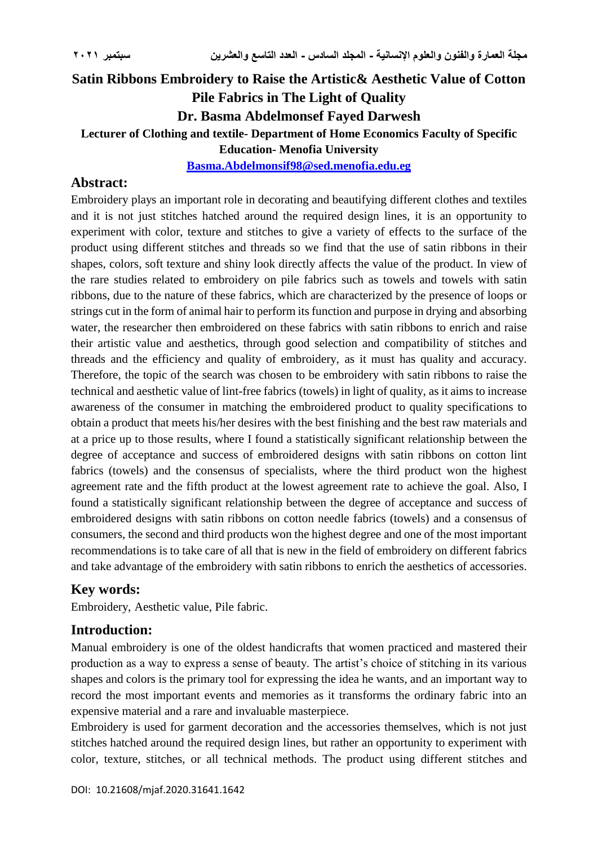# **Satin Ribbons Embroidery to Raise the Artistic& Aesthetic Value of Cotton Pile Fabrics in The Light of Quality Dr. Basma Abdelmonsef Fayed Darwesh Lecturer of Clothing and textile- Department of Home Economics Faculty of Specific Education- Menofia University [Basma.Abdelmonsif98@sed.menofia.edu.eg](mailto:Basma.Abdelmonsif98@sed.menofia.edu.eg)**

### **Abstract:**

Embroidery plays an important role in decorating and beautifying different clothes and textiles and it is not just stitches hatched around the required design lines, it is an opportunity to experiment with color, texture and stitches to give a variety of effects to the surface of the product using different stitches and threads so we find that the use of satin ribbons in their shapes, colors, soft texture and shiny look directly affects the value of the product. In view of the rare studies related to embroidery on pile fabrics such as towels and towels with satin ribbons, due to the nature of these fabrics, which are characterized by the presence of loops or strings cut in the form of animal hair to perform its function and purpose in drying and absorbing water, the researcher then embroidered on these fabrics with satin ribbons to enrich and raise their artistic value and aesthetics, through good selection and compatibility of stitches and threads and the efficiency and quality of embroidery, as it must has quality and accuracy. Therefore, the topic of the search was chosen to be embroidery with satin ribbons to raise the technical and aesthetic value of lint-free fabrics (towels) in light of quality, as it aims to increase awareness of the consumer in matching the embroidered product to quality specifications to obtain a product that meets his/her desires with the best finishing and the best raw materials and at a price up to those results, where I found a statistically significant relationship between the degree of acceptance and success of embroidered designs with satin ribbons on cotton lint fabrics (towels) and the consensus of specialists, where the third product won the highest agreement rate and the fifth product at the lowest agreement rate to achieve the goal. Also, I found a statistically significant relationship between the degree of acceptance and success of embroidered designs with satin ribbons on cotton needle fabrics (towels) and a consensus of consumers, the second and third products won the highest degree and one of the most important recommendations is to take care of all that is new in the field of embroidery on different fabrics and take advantage of the embroidery with satin ribbons to enrich the aesthetics of accessories.

### **Key words:**

Embroidery, Aesthetic value, Pile fabric.

### **Introduction:**

Manual embroidery is one of the oldest handicrafts that women practiced and mastered their production as a way to express a sense of beauty. The artist's choice of stitching in its various shapes and colors is the primary tool for expressing the idea he wants, and an important way to record the most important events and memories as it transforms the ordinary fabric into an expensive material and a rare and invaluable masterpiece.

Embroidery is used for garment decoration and the accessories themselves, which is not just stitches hatched around the required design lines, but rather an opportunity to experiment with color, texture, stitches, or all technical methods. The product using different stitches and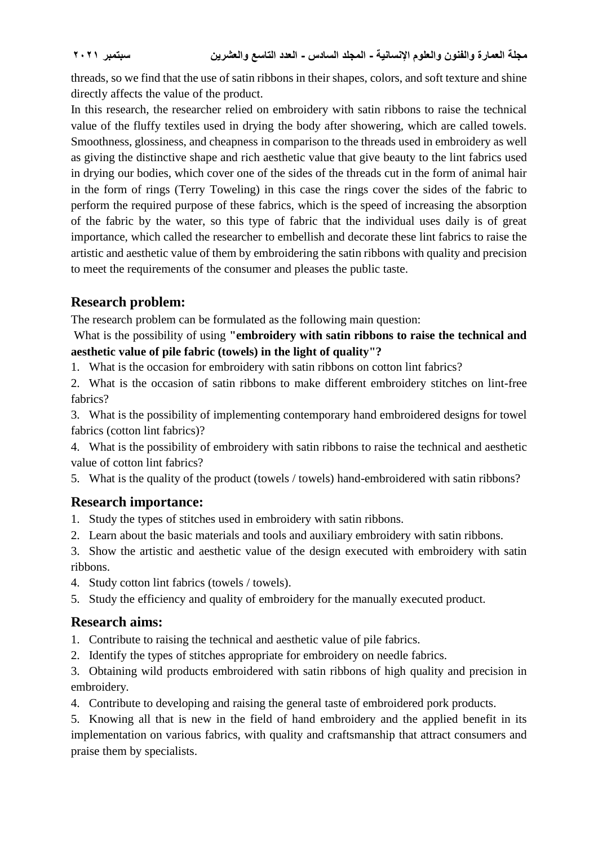threads, so we find that the use of satin ribbons in their shapes, colors, and soft texture and shine directly affects the value of the product.

In this research, the researcher relied on embroidery with satin ribbons to raise the technical value of the fluffy textiles used in drying the body after showering, which are called towels. Smoothness, glossiness, and cheapness in comparison to the threads used in embroidery as well as giving the distinctive shape and rich aesthetic value that give beauty to the lint fabrics used in drying our bodies, which cover one of the sides of the threads cut in the form of animal hair in the form of rings (Terry Toweling) in this case the rings cover the sides of the fabric to perform the required purpose of these fabrics, which is the speed of increasing the absorption of the fabric by the water, so this type of fabric that the individual uses daily is of great importance, which called the researcher to embellish and decorate these lint fabrics to raise the artistic and aesthetic value of them by embroidering the satin ribbons with quality and precision to meet the requirements of the consumer and pleases the public taste.

## **Research problem:**

The research problem can be formulated as the following main question:

What is the possibility of using **"embroidery with satin ribbons to raise the technical and aesthetic value of pile fabric (towels) in the light of quality"?**

- 1. What is the occasion for embroidery with satin ribbons on cotton lint fabrics?
- 2. What is the occasion of satin ribbons to make different embroidery stitches on lint-free fabrics?

3. What is the possibility of implementing contemporary hand embroidered designs for towel fabrics (cotton lint fabrics)?

4. What is the possibility of embroidery with satin ribbons to raise the technical and aesthetic value of cotton lint fabrics?

5. What is the quality of the product (towels / towels) hand-embroidered with satin ribbons?

# **Research importance:**

- 1. Study the types of stitches used in embroidery with satin ribbons.
- 2. Learn about the basic materials and tools and auxiliary embroidery with satin ribbons.
- 3. Show the artistic and aesthetic value of the design executed with embroidery with satin ribbons.
- 4. Study cotton lint fabrics (towels / towels).
- 5. Study the efficiency and quality of embroidery for the manually executed product.

# **Research aims:**

- 1. Contribute to raising the technical and aesthetic value of pile fabrics.
- 2. Identify the types of stitches appropriate for embroidery on needle fabrics.

3. Obtaining wild products embroidered with satin ribbons of high quality and precision in embroidery.

4. Contribute to developing and raising the general taste of embroidered pork products.

5. Knowing all that is new in the field of hand embroidery and the applied benefit in its implementation on various fabrics, with quality and craftsmanship that attract consumers and praise them by specialists.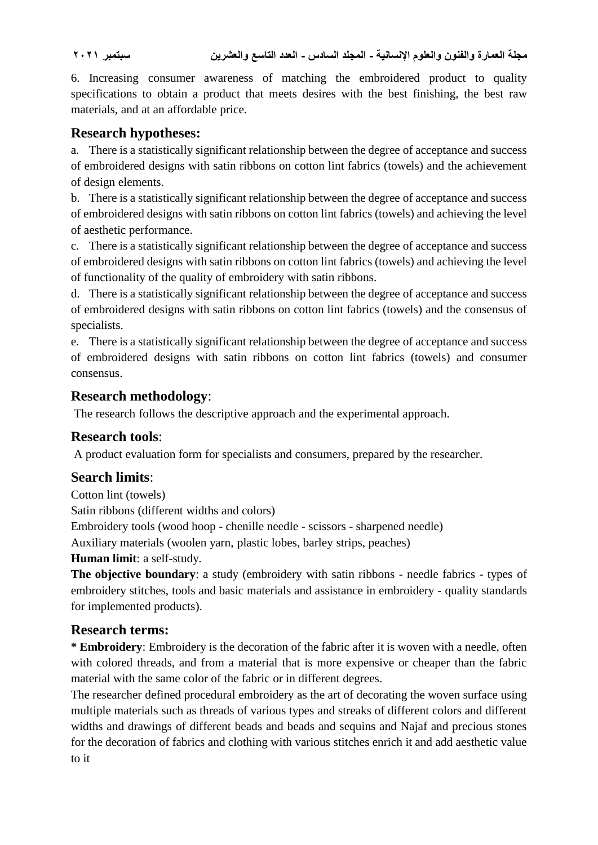6. Increasing consumer awareness of matching the embroidered product to quality specifications to obtain a product that meets desires with the best finishing, the best raw materials, and at an affordable price.

## **Research hypotheses:**

a. There is a statistically significant relationship between the degree of acceptance and success of embroidered designs with satin ribbons on cotton lint fabrics (towels) and the achievement of design elements.

b. There is a statistically significant relationship between the degree of acceptance and success of embroidered designs with satin ribbons on cotton lint fabrics (towels) and achieving the level of aesthetic performance.

c. There is a statistically significant relationship between the degree of acceptance and success of embroidered designs with satin ribbons on cotton lint fabrics (towels) and achieving the level of functionality of the quality of embroidery with satin ribbons.

d. There is a statistically significant relationship between the degree of acceptance and success of embroidered designs with satin ribbons on cotton lint fabrics (towels) and the consensus of specialists.

e. There is a statistically significant relationship between the degree of acceptance and success of embroidered designs with satin ribbons on cotton lint fabrics (towels) and consumer consensus.

## **Research methodology**:

The research follows the descriptive approach and the experimental approach.

### **Research tools**:

A product evaluation form for specialists and consumers, prepared by the researcher.

## **Search limits**:

Cotton lint (towels)

Satin ribbons (different widths and colors)

Embroidery tools (wood hoop - chenille needle - scissors - sharpened needle)

Auxiliary materials (woolen yarn, plastic lobes, barley strips, peaches)

### **Human limit**: a self-study.

**The objective boundary**: a study (embroidery with satin ribbons - needle fabrics - types of embroidery stitches, tools and basic materials and assistance in embroidery - quality standards for implemented products).

## **Research terms:**

**\* Embroidery**: Embroidery is the decoration of the fabric after it is woven with a needle, often with colored threads, and from a material that is more expensive or cheaper than the fabric material with the same color of the fabric or in different degrees.

The researcher defined procedural embroidery as the art of decorating the woven surface using multiple materials such as threads of various types and streaks of different colors and different widths and drawings of different beads and beads and sequins and Najaf and precious stones for the decoration of fabrics and clothing with various stitches enrich it and add aesthetic value to it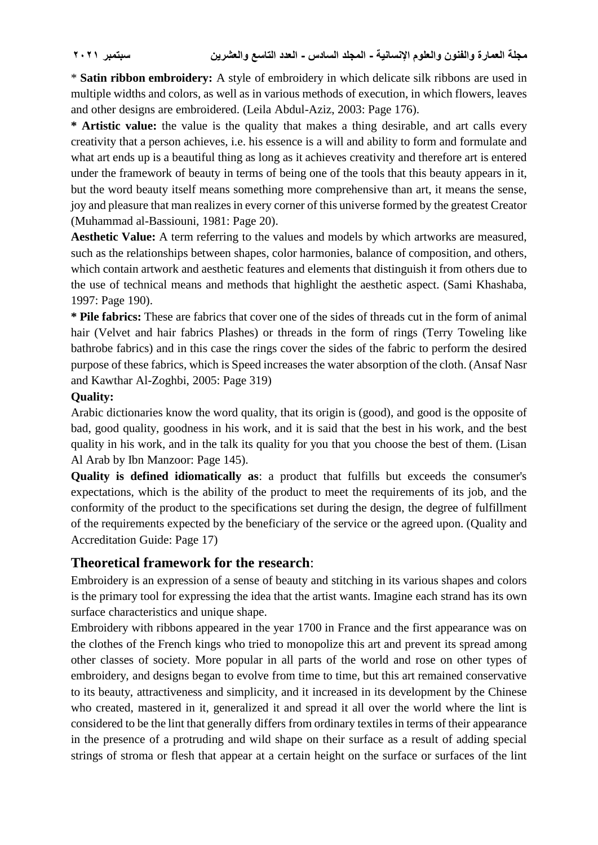\* **Satin ribbon embroidery:** A style of embroidery in which delicate silk ribbons are used in multiple widths and colors, as well as in various methods of execution, in which flowers, leaves and other designs are embroidered. (Leila Abdul-Aziz, 2003: Page 176).

**\* Artistic value:** the value is the quality that makes a thing desirable, and art calls every creativity that a person achieves, i.e. his essence is a will and ability to form and formulate and what art ends up is a beautiful thing as long as it achieves creativity and therefore art is entered under the framework of beauty in terms of being one of the tools that this beauty appears in it, but the word beauty itself means something more comprehensive than art, it means the sense, joy and pleasure that man realizes in every corner of this universe formed by the greatest Creator (Muhammad al-Bassiouni, 1981: Page 20).

**Aesthetic Value:** A term referring to the values and models by which artworks are measured, such as the relationships between shapes, color harmonies, balance of composition, and others, which contain artwork and aesthetic features and elements that distinguish it from others due to the use of technical means and methods that highlight the aesthetic aspect. (Sami Khashaba, 1997: Page 190).

**\* Pile fabrics:** These are fabrics that cover one of the sides of threads cut in the form of animal hair (Velvet and hair fabrics Plashes) or threads in the form of rings (Terry Toweling like bathrobe fabrics) and in this case the rings cover the sides of the fabric to perform the desired purpose of these fabrics, which is Speed increases the water absorption of the cloth. (Ansaf Nasr and Kawthar Al-Zoghbi, 2005: Page 319)

### **Quality:**

Arabic dictionaries know the word quality, that its origin is (good), and good is the opposite of bad, good quality, goodness in his work, and it is said that the best in his work, and the best quality in his work, and in the talk its quality for you that you choose the best of them. (Lisan Al Arab by Ibn Manzoor: Page 145).

**Quality is defined idiomatically as**: a product that fulfills but exceeds the consumer's expectations, which is the ability of the product to meet the requirements of its job, and the conformity of the product to the specifications set during the design, the degree of fulfillment of the requirements expected by the beneficiary of the service or the agreed upon. (Quality and Accreditation Guide: Page 17)

### **Theoretical framework for the research**:

Embroidery is an expression of a sense of beauty and stitching in its various shapes and colors is the primary tool for expressing the idea that the artist wants. Imagine each strand has its own surface characteristics and unique shape.

Embroidery with ribbons appeared in the year 1700 in France and the first appearance was on the clothes of the French kings who tried to monopolize this art and prevent its spread among other classes of society. More popular in all parts of the world and rose on other types of embroidery, and designs began to evolve from time to time, but this art remained conservative to its beauty, attractiveness and simplicity, and it increased in its development by the Chinese who created, mastered in it, generalized it and spread it all over the world where the lint is considered to be the lint that generally differs from ordinary textiles in terms of their appearance in the presence of a protruding and wild shape on their surface as a result of adding special strings of stroma or flesh that appear at a certain height on the surface or surfaces of the lint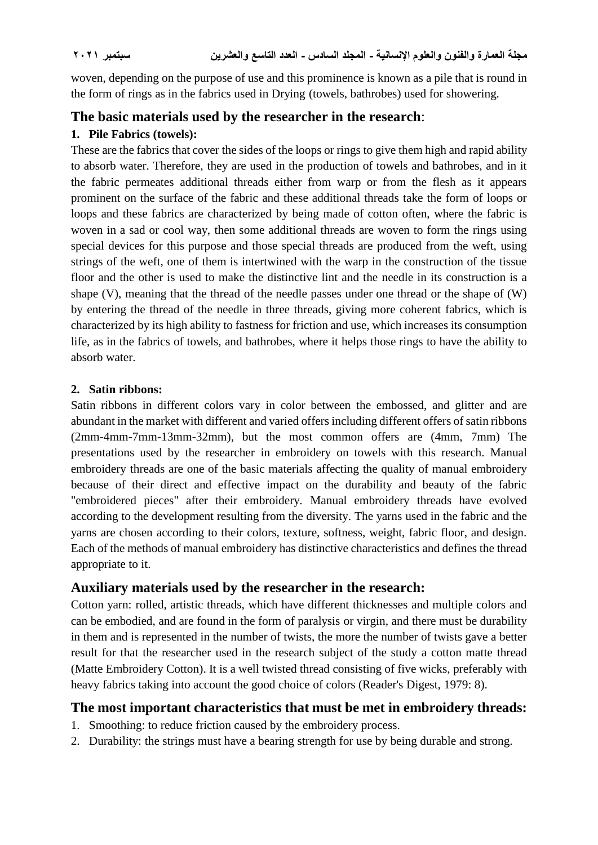woven, depending on the purpose of use and this prominence is known as a pile that is round in the form of rings as in the fabrics used in Drying (towels, bathrobes) used for showering.

## **The basic materials used by the researcher in the research**:

### **1. Pile Fabrics (towels):**

These are the fabrics that cover the sides of the loops or rings to give them high and rapid ability to absorb water. Therefore, they are used in the production of towels and bathrobes, and in it the fabric permeates additional threads either from warp or from the flesh as it appears prominent on the surface of the fabric and these additional threads take the form of loops or loops and these fabrics are characterized by being made of cotton often, where the fabric is woven in a sad or cool way, then some additional threads are woven to form the rings using special devices for this purpose and those special threads are produced from the weft, using strings of the weft, one of them is intertwined with the warp in the construction of the tissue floor and the other is used to make the distinctive lint and the needle in its construction is a shape (V), meaning that the thread of the needle passes under one thread or the shape of (W) by entering the thread of the needle in three threads, giving more coherent fabrics, which is characterized by its high ability to fastness for friction and use, which increases its consumption life, as in the fabrics of towels, and bathrobes, where it helps those rings to have the ability to absorb water.

### **2. Satin ribbons:**

Satin ribbons in different colors vary in color between the embossed, and glitter and are abundant in the market with different and varied offers including different offers of satin ribbons (2mm-4mm-7mm-13mm-32mm), but the most common offers are (4mm, 7mm) The presentations used by the researcher in embroidery on towels with this research. Manual embroidery threads are one of the basic materials affecting the quality of manual embroidery because of their direct and effective impact on the durability and beauty of the fabric "embroidered pieces" after their embroidery. Manual embroidery threads have evolved according to the development resulting from the diversity. The yarns used in the fabric and the yarns are chosen according to their colors, texture, softness, weight, fabric floor, and design. Each of the methods of manual embroidery has distinctive characteristics and defines the thread appropriate to it.

## **Auxiliary materials used by the researcher in the research:**

Cotton yarn: rolled, artistic threads, which have different thicknesses and multiple colors and can be embodied, and are found in the form of paralysis or virgin, and there must be durability in them and is represented in the number of twists, the more the number of twists gave a better result for that the researcher used in the research subject of the study a cotton matte thread (Matte Embroidery Cotton). It is a well twisted thread consisting of five wicks, preferably with heavy fabrics taking into account the good choice of colors (Reader's Digest, 1979: 8).

# **The most important characteristics that must be met in embroidery threads:**

- 1. Smoothing: to reduce friction caused by the embroidery process.
- 2. Durability: the strings must have a bearing strength for use by being durable and strong.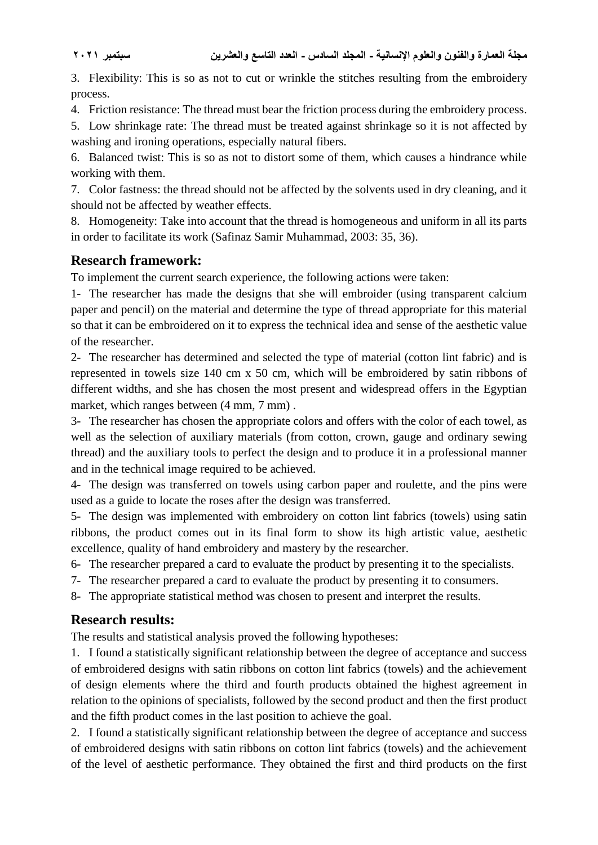3. Flexibility: This is so as not to cut or wrinkle the stitches resulting from the embroidery process.

4. Friction resistance: The thread must bear the friction process during the embroidery process.

5. Low shrinkage rate: The thread must be treated against shrinkage so it is not affected by washing and ironing operations, especially natural fibers.

6. Balanced twist: This is so as not to distort some of them, which causes a hindrance while working with them.

7. Color fastness: the thread should not be affected by the solvents used in dry cleaning, and it should not be affected by weather effects.

8. Homogeneity: Take into account that the thread is homogeneous and uniform in all its parts in order to facilitate its work (Safinaz Samir Muhammad, 2003: 35, 36).

## **Research framework:**

To implement the current search experience, the following actions were taken:

1- The researcher has made the designs that she will embroider (using transparent calcium paper and pencil) on the material and determine the type of thread appropriate for this material so that it can be embroidered on it to express the technical idea and sense of the aesthetic value of the researcher.

2- The researcher has determined and selected the type of material (cotton lint fabric) and is represented in towels size 140 cm x 50 cm, which will be embroidered by satin ribbons of different widths, and she has chosen the most present and widespread offers in the Egyptian market, which ranges between  $(4 \text{ mm}, 7 \text{ mm})$ .

3- The researcher has chosen the appropriate colors and offers with the color of each towel, as well as the selection of auxiliary materials (from cotton, crown, gauge and ordinary sewing thread) and the auxiliary tools to perfect the design and to produce it in a professional manner and in the technical image required to be achieved.

4- The design was transferred on towels using carbon paper and roulette, and the pins were used as a guide to locate the roses after the design was transferred.

5- The design was implemented with embroidery on cotton lint fabrics (towels) using satin ribbons, the product comes out in its final form to show its high artistic value, aesthetic excellence, quality of hand embroidery and mastery by the researcher.

6- The researcher prepared a card to evaluate the product by presenting it to the specialists.

7- The researcher prepared a card to evaluate the product by presenting it to consumers.

8- The appropriate statistical method was chosen to present and interpret the results.

## **Research results:**

The results and statistical analysis proved the following hypotheses:

1. I found a statistically significant relationship between the degree of acceptance and success of embroidered designs with satin ribbons on cotton lint fabrics (towels) and the achievement of design elements where the third and fourth products obtained the highest agreement in relation to the opinions of specialists, followed by the second product and then the first product and the fifth product comes in the last position to achieve the goal.

2. I found a statistically significant relationship between the degree of acceptance and success of embroidered designs with satin ribbons on cotton lint fabrics (towels) and the achievement of the level of aesthetic performance. They obtained the first and third products on the first